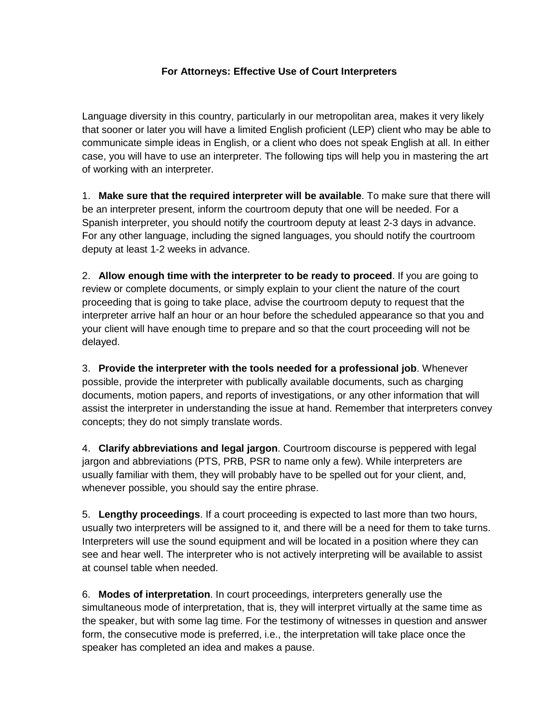## **For Attorneys: Effective Use of Court Interpreters**

Language diversity in this country, particularly in our metropolitan area, makes it very likely that sooner or later you will have a limited English proficient (LEP) client who may be able to communicate simple ideas in English, or a client who does not speak English at all. In either case, you will have to use an interpreter. The following tips will help you in mastering the art of working with an interpreter.

1. **Make sure that the required interpreter will be available**. To make sure that there will be an interpreter present, inform the courtroom deputy that one will be needed. For a Spanish interpreter, you should notify the courtroom deputy at least 2-3 days in advance. For any other language, including the signed languages, you should notify the courtroom deputy at least 1-2 weeks in advance.

2. **Allow enough time with the interpreter to be ready to proceed**. If you are going to review or complete documents, or simply explain to your client the nature of the court proceeding that is going to take place, advise the courtroom deputy to request that the interpreter arrive half an hour or an hour before the scheduled appearance so that you and your client will have enough time to prepare and so that the court proceeding will not be delayed.

3. **Provide the interpreter with the tools needed for a professional job**. Whenever possible, provide the interpreter with publically available documents, such as charging documents, motion papers, and reports of investigations, or any other information that will assist the interpreter in understanding the issue at hand. Remember that interpreters convey concepts; they do not simply translate words.

4. **Clarify abbreviations and legal jargon**. Courtroom discourse is peppered with legal jargon and abbreviations (PTS, PRB, PSR to name only a few). While interpreters are usually familiar with them, they will probably have to be spelled out for your client, and, whenever possible, you should say the entire phrase.

5. **Lengthy proceedings**. If a court proceeding is expected to last more than two hours, usually two interpreters will be assigned to it, and there will be a need for them to take turns. Interpreters will use the sound equipment and will be located in a position where they can see and hear well. The interpreter who is not actively interpreting will be available to assist at counsel table when needed.

6. **Modes of interpretation**. In court proceedings, interpreters generally use the simultaneous mode of interpretation, that is, they will interpret virtually at the same time as the speaker, but with some lag time. For the testimony of witnesses in question and answer form, the consecutive mode is preferred, i.e., the interpretation will take place once the speaker has completed an idea and makes a pause.